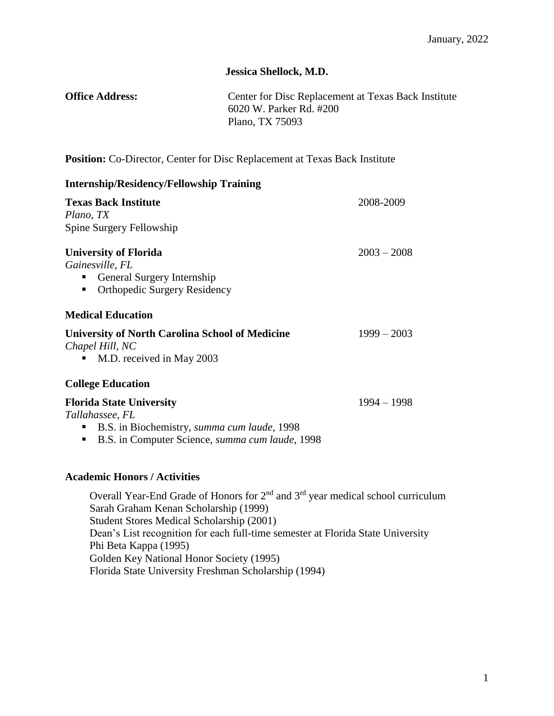# **Jessica Shellock, M.D.**

| <b>Office Address:</b> | Center for Disc Replacement at Texas Back Institute |
|------------------------|-----------------------------------------------------|
|                        | 6020 W. Parker Rd. #200                             |
|                        | Plano, TX 75093                                     |

**Position:** Co-Director, Center for Disc Replacement at Texas Back Institute

| <b>Internship/Residency/Fellowship Training</b>                                                                                                           |               |
|-----------------------------------------------------------------------------------------------------------------------------------------------------------|---------------|
| <b>Texas Back Institute</b><br>Plano, TX<br>Spine Surgery Fellowship                                                                                      | 2008-2009     |
| <b>University of Florida</b><br>Gainesville, FL<br>General Surgery Internship<br>п<br><b>Orthopedic Surgery Residency</b><br>п                            | $2003 - 2008$ |
| <b>Medical Education</b>                                                                                                                                  |               |
| <b>University of North Carolina School of Medicine</b><br>Chapel Hill, NC<br>M.D. received in May 2003<br>п                                               | $1999 - 2003$ |
| <b>College Education</b>                                                                                                                                  |               |
| <b>Florida State University</b><br>Tallahassee, FL<br>B.S. in Biochemistry, summa cum laude, 1998<br>B.S. in Computer Science, summa cum laude, 1998<br>п | $1994 - 1998$ |
| <b>Academic Honors / Activities</b>                                                                                                                       |               |
| Overall Year-End Grade of Honors for $2nd$ and $3rd$ year medical school curriculum<br>Sarah Graham Kenan Scholarship (1999)                              |               |

Student Stores Medical Scholarship (2001) Dean's List recognition for each full-time semester at Florida State University Phi Beta Kappa (1995) Golden Key National Honor Society (1995) Florida State University Freshman Scholarship (1994)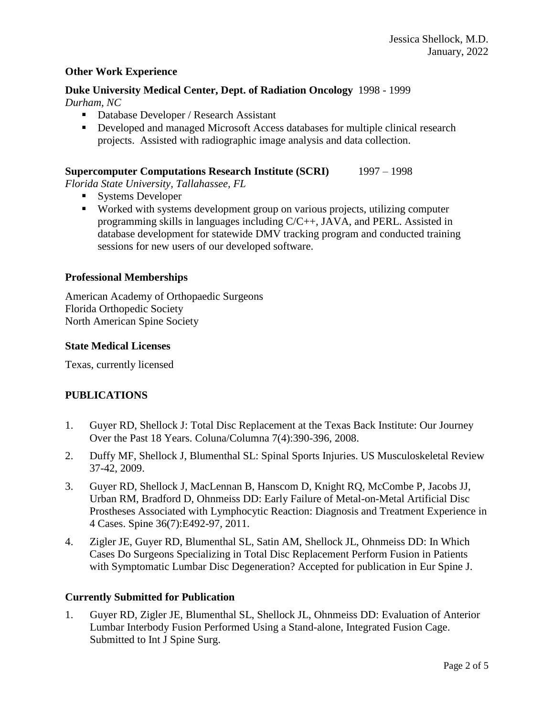#### **Other Work Experience**

#### **Duke University Medical Center, Dept. of Radiation Oncology** 1998 - 1999 *Durham, NC*

- Database Developer / Research Assistant
- Developed and managed Microsoft Access databases for multiple clinical research projects. Assisted with radiographic image analysis and data collection.

#### **Supercomputer Computations Research Institute (SCRI)** 1997 – 1998

*Florida State University, Tallahassee, FL*

- Systems Developer
- Worked with systems development group on various projects, utilizing computer programming skills in languages including C/C++, JAVA, and PERL. Assisted in database development for statewide DMV tracking program and conducted training sessions for new users of our developed software.

#### **Professional Memberships**

American Academy of Orthopaedic Surgeons Florida Orthopedic Society North American Spine Society

#### **State Medical Licenses**

Texas, currently licensed

### **PUBLICATIONS**

- 1. Guyer RD, Shellock J: Total Disc Replacement at the Texas Back Institute: Our Journey Over the Past 18 Years. Coluna/Columna 7(4):390-396, 2008.
- 2. Duffy MF, Shellock J, Blumenthal SL: Spinal Sports Injuries. US Musculoskeletal Review 37-42, 2009.
- 3. Guyer RD, Shellock J, MacLennan B, Hanscom D, Knight RQ, McCombe P, Jacobs JJ, Urban RM, Bradford D, Ohnmeiss DD: Early Failure of Metal-on-Metal Artificial Disc Prostheses Associated with Lymphocytic Reaction: Diagnosis and Treatment Experience in 4 Cases. Spine 36(7):E492-97, 2011.
- 4. Zigler JE, Guyer RD, Blumenthal SL, Satin AM, Shellock JL, Ohnmeiss DD: In Which Cases Do Surgeons Specializing in Total Disc Replacement Perform Fusion in Patients with Symptomatic Lumbar Disc Degeneration? Accepted for publication in Eur Spine J.

#### **Currently Submitted for Publication**

1. Guyer RD, Zigler JE, Blumenthal SL, Shellock JL, Ohnmeiss DD: Evaluation of Anterior Lumbar Interbody Fusion Performed Using a Stand-alone, Integrated Fusion Cage. Submitted to Int J Spine Surg.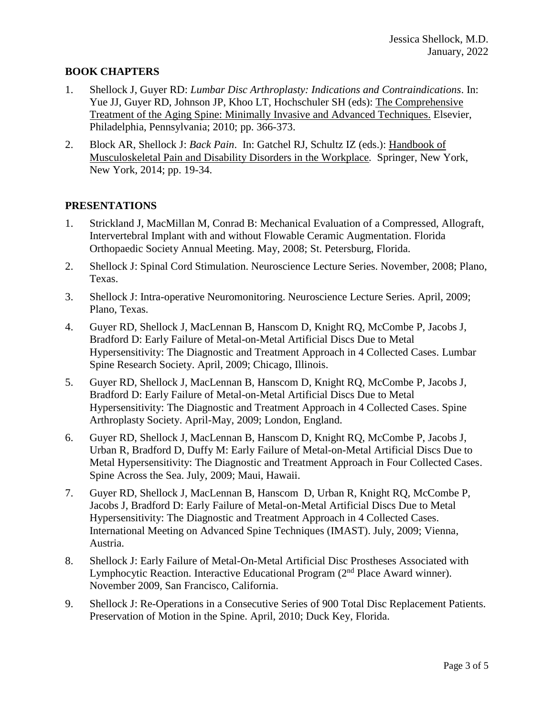## **BOOK CHAPTERS**

- 1. Shellock J, Guyer RD: *Lumbar Disc Arthroplasty: Indications and Contraindications*. In: Yue JJ, Guyer RD, Johnson JP, Khoo LT, Hochschuler SH (eds): The Comprehensive Treatment of the Aging Spine: Minimally Invasive and Advanced Techniques. Elsevier, Philadelphia, Pennsylvania; 2010; pp. 366-373.
- 2. Block AR, Shellock J: *Back Pain*. In: Gatchel RJ, Schultz IZ (eds.): Handbook of Musculoskeletal Pain and Disability Disorders in the Workplace*.* Springer*,* New York, New York, 2014; pp. 19-34.

### **PRESENTATIONS**

- 1. Strickland J, MacMillan M, Conrad B: Mechanical Evaluation of a Compressed, Allograft, Intervertebral Implant with and without Flowable Ceramic Augmentation. Florida Orthopaedic Society Annual Meeting. May, 2008; St. Petersburg, Florida.
- 2. Shellock J: Spinal Cord Stimulation. Neuroscience Lecture Series. November, 2008; Plano, Texas.
- 3. Shellock J: Intra-operative Neuromonitoring. Neuroscience Lecture Series. April, 2009; Plano, Texas.
- 4. Guyer RD, Shellock J, MacLennan B, Hanscom D, Knight RQ, McCombe P, Jacobs J, Bradford D: Early Failure of Metal-on-Metal Artificial Discs Due to Metal Hypersensitivity: The Diagnostic and Treatment Approach in 4 Collected Cases. Lumbar Spine Research Society. April, 2009; Chicago, Illinois.
- 5. Guyer RD, Shellock J, MacLennan B, Hanscom D, Knight RQ, McCombe P, Jacobs J, Bradford D: Early Failure of Metal-on-Metal Artificial Discs Due to Metal Hypersensitivity: The Diagnostic and Treatment Approach in 4 Collected Cases. Spine Arthroplasty Society. April-May, 2009; London, England.
- 6. Guyer RD, Shellock J, MacLennan B, Hanscom D, Knight RQ, McCombe P, Jacobs J, Urban R, Bradford D, Duffy M: Early Failure of Metal-on-Metal Artificial Discs Due to Metal Hypersensitivity: The Diagnostic and Treatment Approach in Four Collected Cases. Spine Across the Sea. July, 2009; Maui, Hawaii.
- 7. Guyer RD, Shellock J, MacLennan B, Hanscom D, Urban R, Knight RQ, McCombe P, Jacobs J, Bradford D: Early Failure of Metal-on-Metal Artificial Discs Due to Metal Hypersensitivity: The Diagnostic and Treatment Approach in 4 Collected Cases. International Meeting on Advanced Spine Techniques (IMAST). July, 2009; Vienna, Austria.
- 8. Shellock J: Early Failure of Metal-On-Metal Artificial Disc Prostheses Associated with Lymphocytic Reaction. Interactive Educational Program  $(2<sup>nd</sup>$  Place Award winner). November 2009, San Francisco, California.
- 9. Shellock J: Re-Operations in a Consecutive Series of 900 Total Disc Replacement Patients. Preservation of Motion in the Spine. April, 2010; Duck Key, Florida.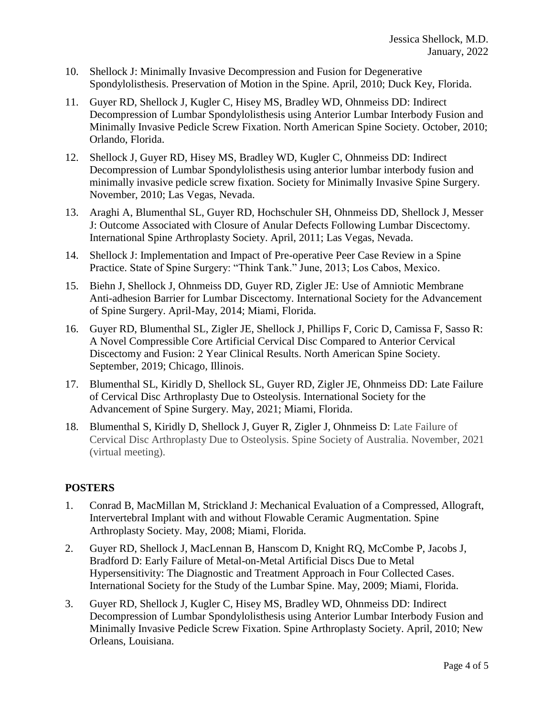- 10. Shellock J: Minimally Invasive Decompression and Fusion for Degenerative Spondylolisthesis. Preservation of Motion in the Spine. April, 2010; Duck Key, Florida.
- 11. Guyer RD, Shellock J, Kugler C, Hisey MS, Bradley WD, Ohnmeiss DD: Indirect Decompression of Lumbar Spondylolisthesis using Anterior Lumbar Interbody Fusion and Minimally Invasive Pedicle Screw Fixation. North American Spine Society. October, 2010; Orlando, Florida.
- 12. Shellock J, Guyer RD, Hisey MS, Bradley WD, Kugler C, Ohnmeiss DD: Indirect Decompression of Lumbar Spondylolisthesis using anterior lumbar interbody fusion and minimally invasive pedicle screw fixation. Society for Minimally Invasive Spine Surgery. November, 2010; Las Vegas, Nevada.
- 13. Araghi A, Blumenthal SL, Guyer RD, Hochschuler SH, Ohnmeiss DD, Shellock J, Messer J: Outcome Associated with Closure of Anular Defects Following Lumbar Discectomy. International Spine Arthroplasty Society. April, 2011; Las Vegas, Nevada.
- 14. Shellock J: Implementation and Impact of Pre-operative Peer Case Review in a Spine Practice. State of Spine Surgery: "Think Tank." June, 2013; Los Cabos, Mexico.
- 15. Biehn J, Shellock J, Ohnmeiss DD, Guyer RD, Zigler JE: Use of Amniotic Membrane Anti-adhesion Barrier for Lumbar Discectomy. International Society for the Advancement of Spine Surgery. April-May, 2014; Miami, Florida.
- 16. Guyer RD, Blumenthal SL, Zigler JE, Shellock J, Phillips F, Coric D, Camissa F, Sasso R: A Novel Compressible Core Artificial Cervical Disc Compared to Anterior Cervical Discectomy and Fusion: 2 Year Clinical Results. North American Spine Society. September, 2019; Chicago, Illinois.
- 17. Blumenthal SL, Kiridly D, Shellock SL, Guyer RD, Zigler JE, Ohnmeiss DD: Late Failure of Cervical Disc Arthroplasty Due to Osteolysis. International Society for the Advancement of Spine Surgery. May, 2021; Miami, Florida.
- 18. Blumenthal S, Kiridly D, Shellock J, Guyer R, Zigler J, Ohnmeiss D: Late Failure of Cervical Disc Arthroplasty Due to Osteolysis. Spine Society of Australia. November, 2021 (virtual meeting).

## **POSTERS**

- 1. Conrad B, MacMillan M, Strickland J: Mechanical Evaluation of a Compressed, Allograft, Intervertebral Implant with and without Flowable Ceramic Augmentation. Spine Arthroplasty Society. May, 2008; Miami, Florida.
- 2. Guyer RD, Shellock J, MacLennan B, Hanscom D, Knight RQ, McCombe P, Jacobs J, Bradford D: Early Failure of Metal-on-Metal Artificial Discs Due to Metal Hypersensitivity: The Diagnostic and Treatment Approach in Four Collected Cases. International Society for the Study of the Lumbar Spine. May, 2009; Miami, Florida.
- 3. Guyer RD, Shellock J, Kugler C, Hisey MS, Bradley WD, Ohnmeiss DD: Indirect Decompression of Lumbar Spondylolisthesis using Anterior Lumbar Interbody Fusion and Minimally Invasive Pedicle Screw Fixation. Spine Arthroplasty Society. April, 2010; New Orleans, Louisiana.